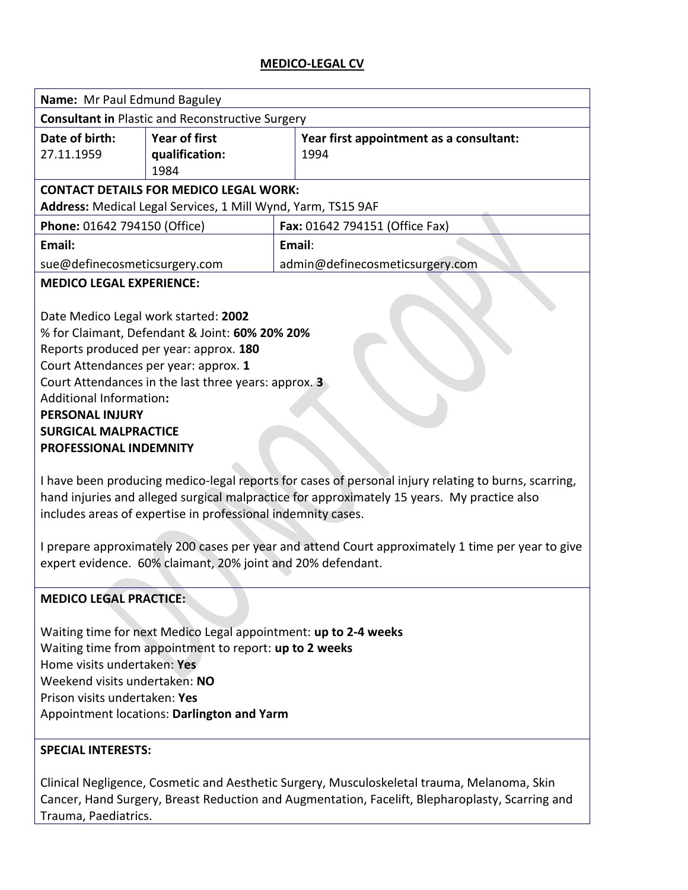#### **MEDICO-LEGAL CV**

| Name: Mr Paul Edmund Baguley                                                                                                                                                                                                                                        |                                                |  |                                                 |  |  |  |
|---------------------------------------------------------------------------------------------------------------------------------------------------------------------------------------------------------------------------------------------------------------------|------------------------------------------------|--|-------------------------------------------------|--|--|--|
| <b>Consultant in Plastic and Reconstructive Surgery</b>                                                                                                                                                                                                             |                                                |  |                                                 |  |  |  |
| Date of birth:<br>27.11.1959                                                                                                                                                                                                                                        | <b>Year of first</b><br>qualification:<br>1984 |  | Year first appointment as a consultant:<br>1994 |  |  |  |
| <b>CONTACT DETAILS FOR MEDICO LEGAL WORK:</b><br>Address: Medical Legal Services, 1 Mill Wynd, Yarm, TS15 9AF                                                                                                                                                       |                                                |  |                                                 |  |  |  |
| Phone: 01642 794150 (Office)                                                                                                                                                                                                                                        |                                                |  | Fax: 01642 794151 (Office Fax)                  |  |  |  |
| Email:                                                                                                                                                                                                                                                              |                                                |  | Email:                                          |  |  |  |
| sue@definecosmeticsurgery.com                                                                                                                                                                                                                                       |                                                |  | admin@definecosmeticsurgery.com                 |  |  |  |
| <b>MEDICO LEGAL EXPERIENCE:</b><br>Date Medico Legal work started: 2002<br>% for Claimant, Defendant & Joint: 60% 20% 20%<br>Reports produced per year: approx. 180<br>Court Attendances per year: approx. 1                                                        |                                                |  |                                                 |  |  |  |
| Court Attendances in the last three years: approx. 3<br><b>Additional Information:</b>                                                                                                                                                                              |                                                |  |                                                 |  |  |  |
| <b>PERSONAL INJURY</b>                                                                                                                                                                                                                                              |                                                |  |                                                 |  |  |  |
| <b>SURGICAL MALPRACTICE</b>                                                                                                                                                                                                                                         |                                                |  |                                                 |  |  |  |
| PROFESSIONAL INDEMNITY                                                                                                                                                                                                                                              |                                                |  |                                                 |  |  |  |
| I have been producing medico-legal reports for cases of personal injury relating to burns, scarring,<br>hand injuries and alleged surgical malpractice for approximately 15 years. My practice also<br>includes areas of expertise in professional indemnity cases. |                                                |  |                                                 |  |  |  |
| I prepare approximately 200 cases per year and attend Court approximately 1 time per year to give<br>expert evidence. 60% claimant, 20% joint and 20% defendant.                                                                                                    |                                                |  |                                                 |  |  |  |
| <b>MEDICO LEGAL PRACTICE:</b>                                                                                                                                                                                                                                       |                                                |  |                                                 |  |  |  |
| Waiting time for next Medico Legal appointment: up to 2-4 weeks<br>Waiting time from appointment to report: up to 2 weeks<br>Home visits undertaken: Yes<br>Weekend visits undertaken: NO                                                                           |                                                |  |                                                 |  |  |  |

Prison visits undertaken: **Yes** Appointment locations: **Darlington and Yarm**

### **SPECIAL INTERESTS:**

Clinical Negligence, Cosmetic and Aesthetic Surgery, Musculoskeletal trauma, Melanoma, Skin Cancer, Hand Surgery, Breast Reduction and Augmentation, Facelift, Blepharoplasty, Scarring and Trauma, Paediatrics.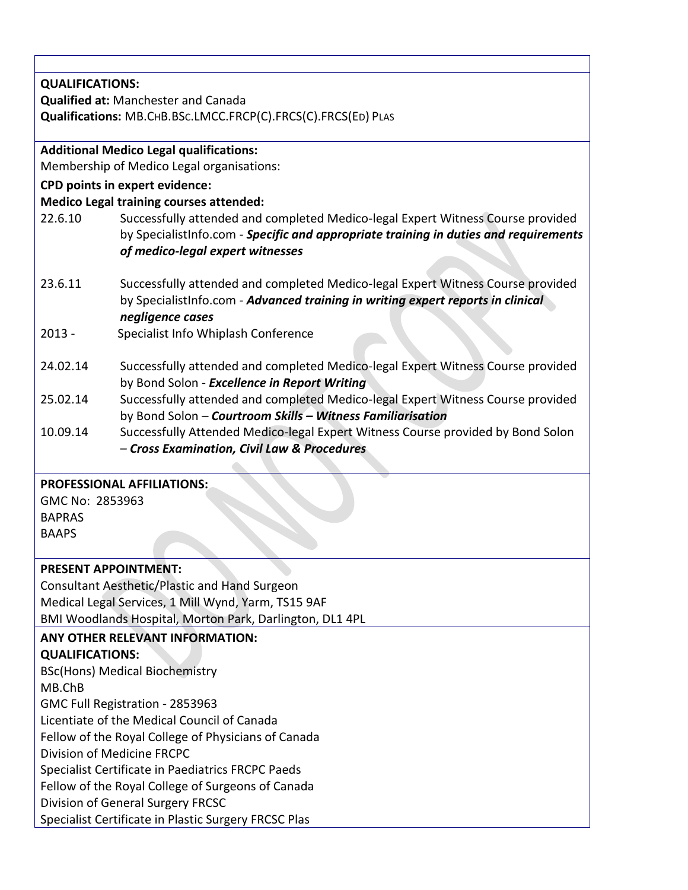| <b>QUALIFICATIONS:</b>                                   |                                                                                      |  |  |  |  |
|----------------------------------------------------------|--------------------------------------------------------------------------------------|--|--|--|--|
|                                                          | <b>Qualified at: Manchester and Canada</b>                                           |  |  |  |  |
|                                                          | Qualifications: MB.CHB.BSc.LMCC.FRCP(C).FRCS(C).FRCS(ED) PLAS                        |  |  |  |  |
|                                                          |                                                                                      |  |  |  |  |
|                                                          | <b>Additional Medico Legal qualifications:</b>                                       |  |  |  |  |
|                                                          | Membership of Medico Legal organisations:                                            |  |  |  |  |
|                                                          | <b>CPD points in expert evidence:</b>                                                |  |  |  |  |
|                                                          | <b>Medico Legal training courses attended:</b>                                       |  |  |  |  |
| 22.6.10                                                  | Successfully attended and completed Medico-legal Expert Witness Course provided      |  |  |  |  |
|                                                          | by SpecialistInfo.com - Specific and appropriate training in duties and requirements |  |  |  |  |
|                                                          | of medico-legal expert witnesses                                                     |  |  |  |  |
|                                                          |                                                                                      |  |  |  |  |
| 23.6.11                                                  | Successfully attended and completed Medico-legal Expert Witness Course provided      |  |  |  |  |
|                                                          | by SpecialistInfo.com - Advanced training in writing expert reports in clinical      |  |  |  |  |
|                                                          | negligence cases                                                                     |  |  |  |  |
| $2013 -$                                                 | Specialist Info Whiplash Conference                                                  |  |  |  |  |
|                                                          |                                                                                      |  |  |  |  |
| 24.02.14                                                 | Successfully attended and completed Medico-legal Expert Witness Course provided      |  |  |  |  |
|                                                          | by Bond Solon - Excellence in Report Writing                                         |  |  |  |  |
| 25.02.14                                                 | Successfully attended and completed Medico-legal Expert Witness Course provided      |  |  |  |  |
|                                                          | by Bond Solon - Courtroom Skills - Witness Familiarisation                           |  |  |  |  |
| 10.09.14                                                 | Successfully Attended Medico-legal Expert Witness Course provided by Bond Solon      |  |  |  |  |
|                                                          | - Cross Examination, Civil Law & Procedures                                          |  |  |  |  |
|                                                          |                                                                                      |  |  |  |  |
|                                                          | <b>PROFESSIONAL AFFILIATIONS:</b>                                                    |  |  |  |  |
| GMC No: 2853963                                          |                                                                                      |  |  |  |  |
| <b>BAPRAS</b>                                            |                                                                                      |  |  |  |  |
| <b>BAAPS</b>                                             |                                                                                      |  |  |  |  |
|                                                          |                                                                                      |  |  |  |  |
| <b>PRESENT APPOINTMENT:</b>                              |                                                                                      |  |  |  |  |
|                                                          | <b>Consultant Aesthetic/Plastic and Hand Surgeon</b>                                 |  |  |  |  |
|                                                          | Medical Legal Services, 1 Mill Wynd, Yarm, TS15 9AF                                  |  |  |  |  |
| BMI Woodlands Hospital, Morton Park, Darlington, DL1 4PL |                                                                                      |  |  |  |  |
|                                                          | ANY OTHER RELEVANT INFORMATION:                                                      |  |  |  |  |
| <b>QUALIFICATIONS:</b>                                   |                                                                                      |  |  |  |  |
|                                                          | <b>BSc(Hons) Medical Biochemistry</b>                                                |  |  |  |  |
| MB.ChB                                                   |                                                                                      |  |  |  |  |
|                                                          | GMC Full Registration - 2853963                                                      |  |  |  |  |
|                                                          | Licentiate of the Medical Council of Canada                                          |  |  |  |  |
|                                                          | Fellow of the Royal College of Physicians of Canada                                  |  |  |  |  |
|                                                          | Division of Medicine FRCPC                                                           |  |  |  |  |
|                                                          | Specialist Certificate in Paediatrics FRCPC Paeds                                    |  |  |  |  |
| Fellow of the Royal College of Surgeons of Canada        |                                                                                      |  |  |  |  |
|                                                          | Division of General Surgery FRCSC                                                    |  |  |  |  |
| Specialist Certificate in Plastic Surgery FRCSC Plas     |                                                                                      |  |  |  |  |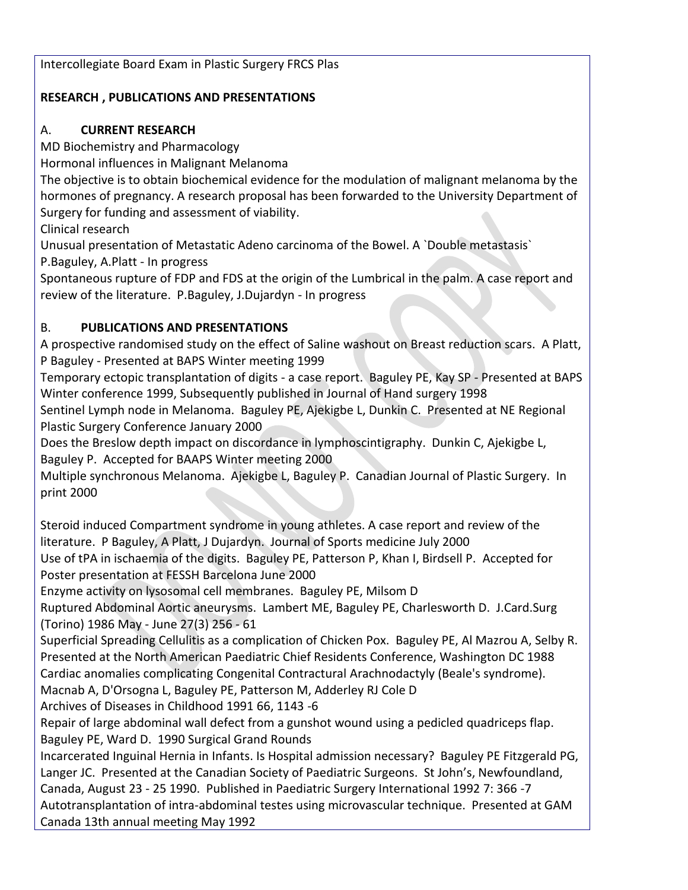# **RESEARCH , PUBLICATIONS AND PRESENTATIONS**

# A. **CURRENT RESEARCH**

MD Biochemistry and Pharmacology

Hormonal influences in Malignant Melanoma

The objective is to obtain biochemical evidence for the modulation of malignant melanoma by the hormones of pregnancy. A research proposal has been forwarded to the University Department of Surgery for funding and assessment of viability.

Clinical research

Unusual presentation of Metastatic Adeno carcinoma of the Bowel. A `Double metastasis`

P.Baguley, A.Platt - In progress

Spontaneous rupture of FDP and FDS at the origin of the Lumbrical in the palm. A case report and review of the literature. P.Baguley, J.Dujardyn - In progress

# B. **PUBLICATIONS AND PRESENTATIONS**

A prospective randomised study on the effect of Saline washout on Breast reduction scars. A Platt, P Baguley - Presented at BAPS Winter meeting 1999

Temporary ectopic transplantation of digits - a case report. Baguley PE, Kay SP - Presented at BAPS Winter conference 1999, Subsequently published in Journal of Hand surgery 1998

Sentinel Lymph node in Melanoma. Baguley PE, Ajekigbe L, Dunkin C. Presented at NE Regional Plastic Surgery Conference January 2000

Does the Breslow depth impact on discordance in lymphoscintigraphy. Dunkin C, Ajekigbe L, Baguley P. Accepted for BAAPS Winter meeting 2000

Multiple synchronous Melanoma. Ajekigbe L, Baguley P. Canadian Journal of Plastic Surgery. In print 2000

Steroid induced Compartment syndrome in young athletes. A case report and review of the literature. P Baguley, A Platt, J Dujardyn. Journal of Sports medicine July 2000

Use of tPA in ischaemia of the digits. Baguley PE, Patterson P, Khan I, Birdsell P. Accepted for Poster presentation at FESSH Barcelona June 2000

Enzyme activity on lysosomal cell membranes. Baguley PE, Milsom D

Ruptured Abdominal Aortic aneurysms. Lambert ME, Baguley PE, Charlesworth D. J.Card.Surg (Torino) 1986 May - June 27(3) 256 - 61

Superficial Spreading Cellulitis as a complication of Chicken Pox. Baguley PE, Al Mazrou A, Selby R. Presented at the North American Paediatric Chief Residents Conference, Washington DC 1988 Cardiac anomalies complicating Congenital Contractural Arachnodactyly (Beale's syndrome).

Macnab A, D'Orsogna L, Baguley PE, Patterson M, Adderley RJ Cole D

Archives of Diseases in Childhood 1991 66, 1143 -6

Repair of large abdominal wall defect from a gunshot wound using a pedicled quadriceps flap. Baguley PE, Ward D. 1990 Surgical Grand Rounds

Incarcerated Inguinal Hernia in Infants. Is Hospital admission necessary? Baguley PE Fitzgerald PG, Langer JC. Presented at the Canadian Society of Paediatric Surgeons. St John's, Newfoundland, Canada, August 23 - 25 1990. Published in Paediatric Surgery International 1992 7: 366 -7 Autotransplantation of intra-abdominal testes using microvascular technique. Presented at GAM Canada 13th annual meeting May 1992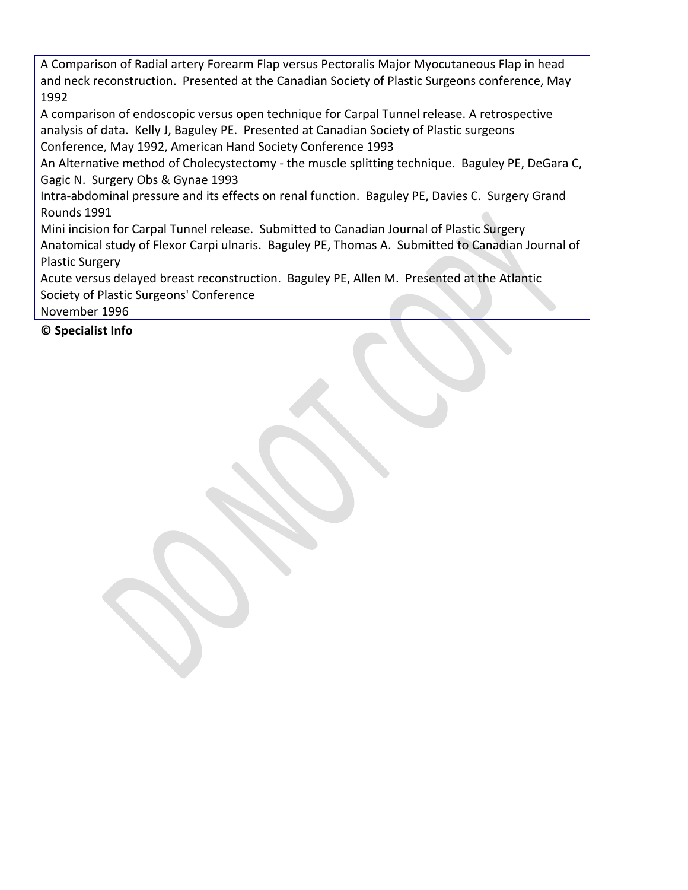A Comparison of Radial artery Forearm Flap versus Pectoralis Major Myocutaneous Flap in head and neck reconstruction. Presented at the Canadian Society of Plastic Surgeons conference, May 1992

A comparison of endoscopic versus open technique for Carpal Tunnel release. A retrospective analysis of data. Kelly J, Baguley PE. Presented at Canadian Society of Plastic surgeons Conference, May 1992, American Hand Society Conference 1993

An Alternative method of Cholecystectomy - the muscle splitting technique. Baguley PE, DeGara C, Gagic N. Surgery Obs & Gynae 1993

Intra-abdominal pressure and its effects on renal function. Baguley PE, Davies C. Surgery Grand Rounds 1991

Mini incision for Carpal Tunnel release. Submitted to Canadian Journal of Plastic Surgery Anatomical study of Flexor Carpi ulnaris. Baguley PE, Thomas A. Submitted to Canadian Journal of Plastic Surgery

Acute versus delayed breast reconstruction. Baguley PE, Allen M. Presented at the Atlantic Society of Plastic Surgeons' Conference

November 1996

**© Specialist Info**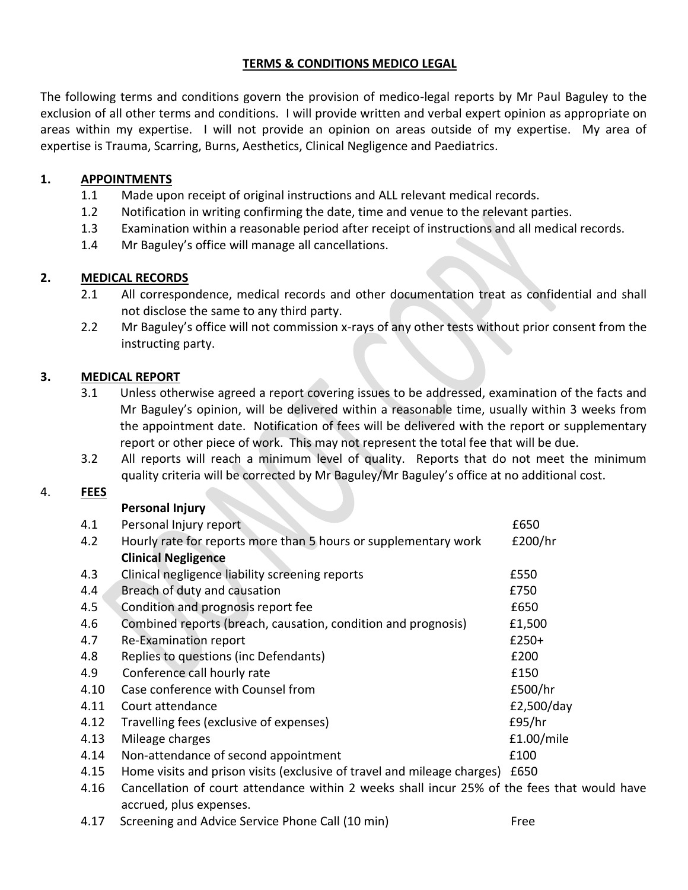## **TERMS & CONDITIONS MEDICO LEGAL**

The following terms and conditions govern the provision of medico-legal reports by Mr Paul Baguley to the exclusion of all other terms and conditions. I will provide written and verbal expert opinion as appropriate on areas within my expertise. I will not provide an opinion on areas outside of my expertise. My area of expertise is Trauma, Scarring, Burns, Aesthetics, Clinical Negligence and Paediatrics.

# **1. APPOINTMENTS**

- 1.1 Made upon receipt of original instructions and ALL relevant medical records.
- 1.2 Notification in writing confirming the date, time and venue to the relevant parties.
- 1.3 Examination within a reasonable period after receipt of instructions and all medical records.
- 1.4 Mr Baguley's office will manage all cancellations.

# **2. MEDICAL RECORDS**

- 2.1 All correspondence, medical records and other documentation treat as confidential and shall not disclose the same to any third party.
- 2.2 Mr Baguley's office will not commission x-rays of any other tests without prior consent from the instructing party.

# **3. MEDICAL REPORT**

- 3.1 Unless otherwise agreed a report covering issues to be addressed, examination of the facts and Mr Baguley's opinion, will be delivered within a reasonable time, usually within 3 weeks from the appointment date. Notification of fees will be delivered with the report or supplementary report or other piece of work. This may not represent the total fee that will be due.
- 3.2 All reports will reach a minimum level of quality. Reports that do not meet the minimum quality criteria will be corrected by Mr Baguley/Mr Baguley's office at no additional cost.

#### 4. **FEES**

| 4.1  | Personal Injury report                                                  | £650       |
|------|-------------------------------------------------------------------------|------------|
| 4.2  | Hourly rate for reports more than 5 hours or supplementary work         | £200/hr    |
|      | <b>Clinical Negligence</b>                                              |            |
| 4.3  | Clinical negligence liability screening reports                         | £550       |
| 4.4  | Breach of duty and causation                                            | £750       |
| 4.5  | Condition and prognosis report fee                                      | £650       |
| 4.6  | Combined reports (breach, causation, condition and prognosis)           | £1,500     |
| 4.7  | <b>Re-Examination report</b>                                            | $£250+$    |
| 4.8  | Replies to questions (inc Defendants)                                   | £200       |
| 4.9  | Conference call hourly rate                                             | £150       |
| 4.10 | Case conference with Counsel from                                       | £500/hr    |
| 4.11 | Court attendance                                                        | £2,500/day |
| 4.12 | Travelling fees (exclusive of expenses)                                 | E95/hr     |
| 4.13 | Mileage charges                                                         | £1.00/mile |
| 4.14 | Non-attendance of second appointment                                    | £100       |
| 4.15 | Home visits and prison visits (exclusive of travel and mileage charges) | £650       |

- 4.16 Cancellation of court attendance within 2 weeks shall incur 25% of the fees that would have accrued, plus expenses.
- 4.17 Screening and Advice Service Phone Call (10 min) Free